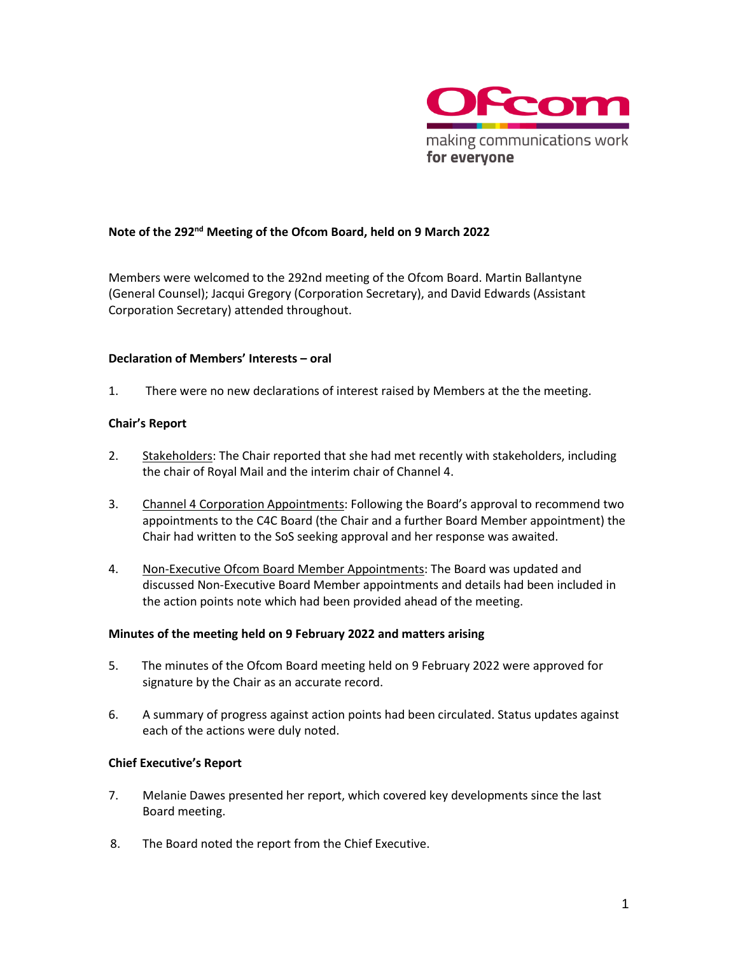

# **Note of the 292 nd Meeting of the Ofcom Board, held on 9 March 2022**

Members were welcomed to the 292nd meeting of the Ofcom Board. Martin Ballantyne (General Counsel); Jacqui Gregory (Corporation Secretary), and David Edwards (Assistant Corporation Secretary) attended throughout.

#### **Declaration of Members' Interests – oral**

1. There were no new declarations of interest raised by Members at the the meeting.

### **Chair's Report**

- 2. Stakeholders: The Chair reported that she had met recently with stakeholders, including the chair of Royal Mail and the interim chair of Channel 4.
- 3. Channel 4 Corporation Appointments: Following the Board's approval to recommend two appointments to the C4C Board (the Chair and a further Board Member appointment) the Chair had written to the SoS seeking approval and her response was awaited.
- 4. Non-Executive Ofcom Board Member Appointments: The Board was updated and discussed Non-Executive Board Member appointments and details had been included in the action points note which had been provided ahead of the meeting.

### **Minutes of the meeting held on 9 February 2022 and matters arising**

- 5. The minutes of the Ofcom Board meeting held on 9 February 2022 were approved for signature by the Chair as an accurate record.
- 6. A summary of progress against action points had been circulated. Status updates against each of the actions were duly noted.

### **Chief Executive's Report**

- 7. Melanie Dawes presented her report, which covered key developments since the last Board meeting.
- 8. The Board noted the report from the Chief Executive.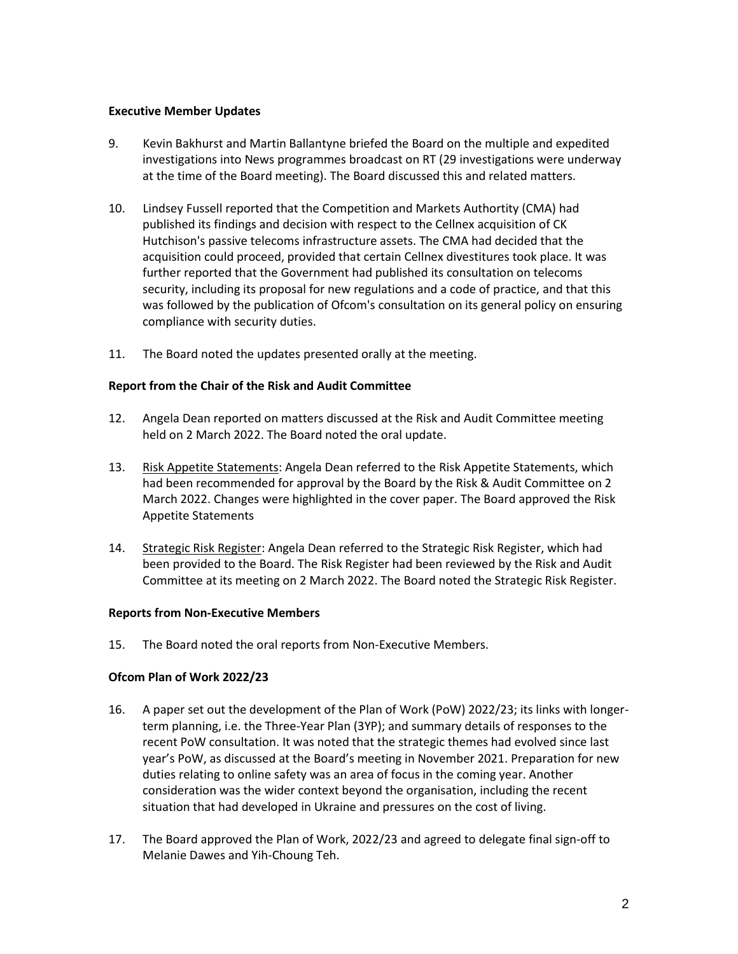#### **Executive Member Updates**

- 9. Kevin Bakhurst and Martin Ballantyne briefed the Board on the multiple and expedited investigations into News programmes broadcast on RT (29 investigations were underway at the time of the Board meeting). The Board discussed this and related matters.
- 10. Lindsey Fussell reported that the Competition and Markets Authortity (CMA) had published its findings and decision with respect to the Cellnex acquisition of CK Hutchison's passive telecoms infrastructure assets. The CMA had decided that the acquisition could proceed, provided that certain Cellnex divestitures took place. It was further reported that the Government had published its consultation on telecoms security, including its proposal for new regulations and a code of practice, and that this was followed by the publication of Ofcom's consultation on its general policy on ensuring compliance with security duties.
- 11. The Board noted the updates presented orally at the meeting.

#### **Report from the Chair of the Risk and Audit Committee**

- 12. Angela Dean reported on matters discussed at the Risk and Audit Committee meeting held on 2 March 2022. The Board noted the oral update.
- 13. Risk Appetite Statements: Angela Dean referred to the Risk Appetite Statements, which had been recommended for approval by the Board by the Risk & Audit Committee on 2 March 2022. Changes were highlighted in the cover paper. The Board approved the Risk Appetite Statements
- 14. Strategic Risk Register: Angela Dean referred to the Strategic Risk Register, which had been provided to the Board. The Risk Register had been reviewed by the Risk and Audit Committee at its meeting on 2 March 2022. The Board noted the Strategic Risk Register.

### **Reports from Non-Executive Members**

15. The Board noted the oral reports from Non-Executive Members.

### **Ofcom Plan of Work 2022/23**

- 16. A paper set out the development of the Plan of Work (PoW) 2022/23; its links with longerterm planning, i.e. the Three-Year Plan (3YP); and summary details of responses to the recent PoW consultation. It was noted that the strategic themes had evolved since last year's PoW, as discussed at the Board's meeting in November 2021. Preparation for new duties relating to online safety was an area of focus in the coming year. Another consideration was the wider context beyond the organisation, including the recent situation that had developed in Ukraine and pressures on the cost of living.
- 17. The Board approved the Plan of Work, 2022/23 and agreed to delegate final sign-off to Melanie Dawes and Yih-Choung Teh.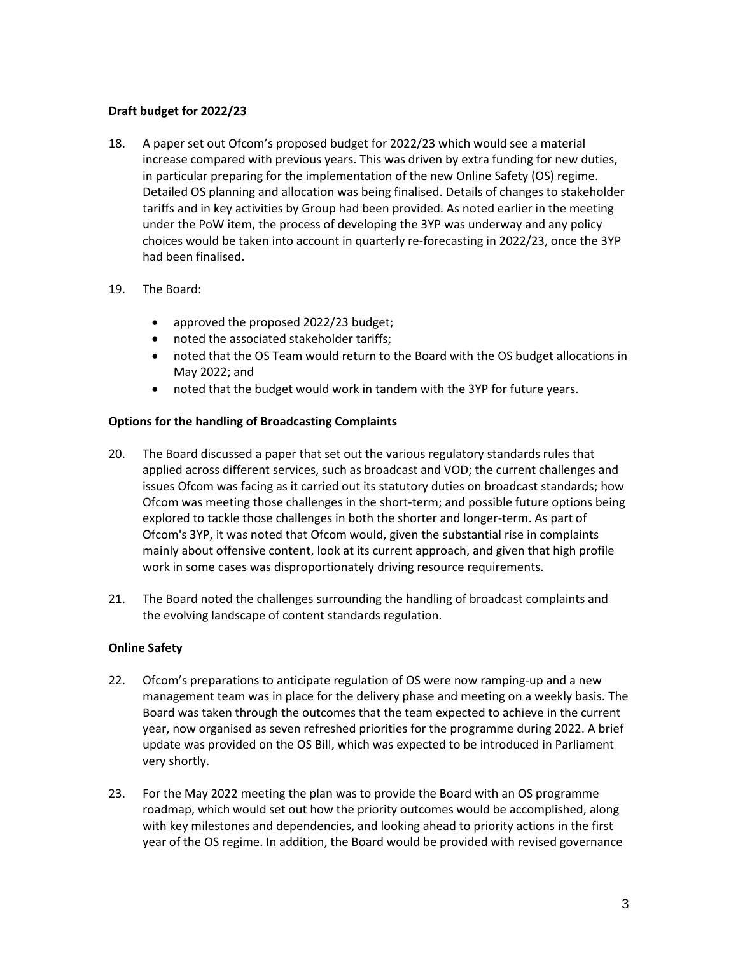# **Draft budget for 2022/23**

18. A paper set out Ofcom's proposed budget for 2022/23 which would see a material increase compared with previous years. This was driven by extra funding for new duties, in particular preparing for the implementation of the new Online Safety (OS) regime. Detailed OS planning and allocation was being finalised. Details of changes to stakeholder tariffs and in key activities by Group had been provided. As noted earlier in the meeting under the PoW item, the process of developing the 3YP was underway and any policy choices would be taken into account in quarterly re-forecasting in 2022/23, once the 3YP had been finalised.

### 19. The Board:

- approved the proposed 2022/23 budget;
- noted the associated stakeholder tariffs;
- noted that the OS Team would return to the Board with the OS budget allocations in May 2022; and
- noted that the budget would work in tandem with the 3YP for future years.

# **Options for the handling of Broadcasting Complaints**

- 20. The Board discussed a paper that set out the various regulatory standards rules that applied across different services, such as broadcast and VOD; the current challenges and issues Ofcom was facing as it carried out its statutory duties on broadcast standards; how Ofcom was meeting those challenges in the short-term; and possible future options being explored to tackle those challenges in both the shorter and longer-term. As part of Ofcom's 3YP, it was noted that Ofcom would, given the substantial rise in complaints mainly about offensive content, look at its current approach, and given that high profile work in some cases was disproportionately driving resource requirements.
- 21. The Board noted the challenges surrounding the handling of broadcast complaints and the evolving landscape of content standards regulation.

### **Online Safety**

- 22. Ofcom's preparations to anticipate regulation of OS were now ramping-up and a new management team was in place for the delivery phase and meeting on a weekly basis. The Board was taken through the outcomes that the team expected to achieve in the current year, now organised as seven refreshed priorities for the programme during 2022. A brief update was provided on the OS Bill, which was expected to be introduced in Parliament very shortly.
- 23. For the May 2022 meeting the plan was to provide the Board with an OS programme roadmap, which would set out how the priority outcomes would be accomplished, along with key milestones and dependencies, and looking ahead to priority actions in the first year of the OS regime. In addition, the Board would be provided with revised governance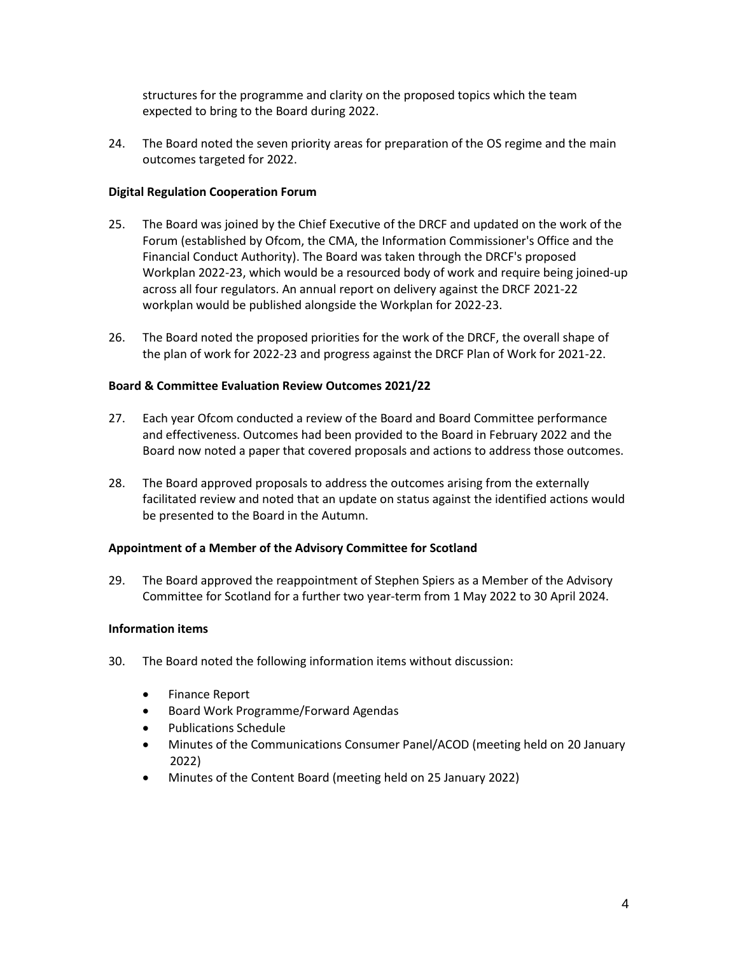structures for the programme and clarity on the proposed topics which the team expected to bring to the Board during 2022.

24. The Board noted the seven priority areas for preparation of the OS regime and the main outcomes targeted for 2022.

### **Digital Regulation Cooperation Forum**

- 25. The Board was joined by the Chief Executive of the DRCF and updated on the work of the Forum (established by Ofcom, the CMA, the Information Commissioner's Office and the Financial Conduct Authority). The Board was taken through the DRCF's proposed Workplan 2022-23, which would be a resourced body of work and require being joined-up across all four regulators. An annual report on delivery against the DRCF 2021-22 workplan would be published alongside the Workplan for 2022-23.
- 26. The Board noted the proposed priorities for the work of the DRCF, the overall shape of the plan of work for 2022-23 and progress against the DRCF Plan of Work for 2021-22.

### **Board & Committee Evaluation Review Outcomes 2021/22**

- 27. Each year Ofcom conducted a review of the Board and Board Committee performance and effectiveness. Outcomes had been provided to the Board in February 2022 and the Board now noted a paper that covered proposals and actions to address those outcomes.
- 28. The Board approved proposals to address the outcomes arising from the externally facilitated review and noted that an update on status against the identified actions would be presented to the Board in the Autumn.

### **Appointment of a Member of the Advisory Committee for Scotland**

29. The Board approved the reappointment of Stephen Spiers as a Member of the Advisory Committee for Scotland for a further two year-term from 1 May 2022 to 30 April 2024.

### **Information items**

- 30. The Board noted the following information items without discussion:
	- Finance Report
	- Board Work Programme/Forward Agendas
	- Publications Schedule
	- Minutes of the Communications Consumer Panel/ACOD (meeting held on 20 January 2022)
	- Minutes of the Content Board (meeting held on 25 January 2022)